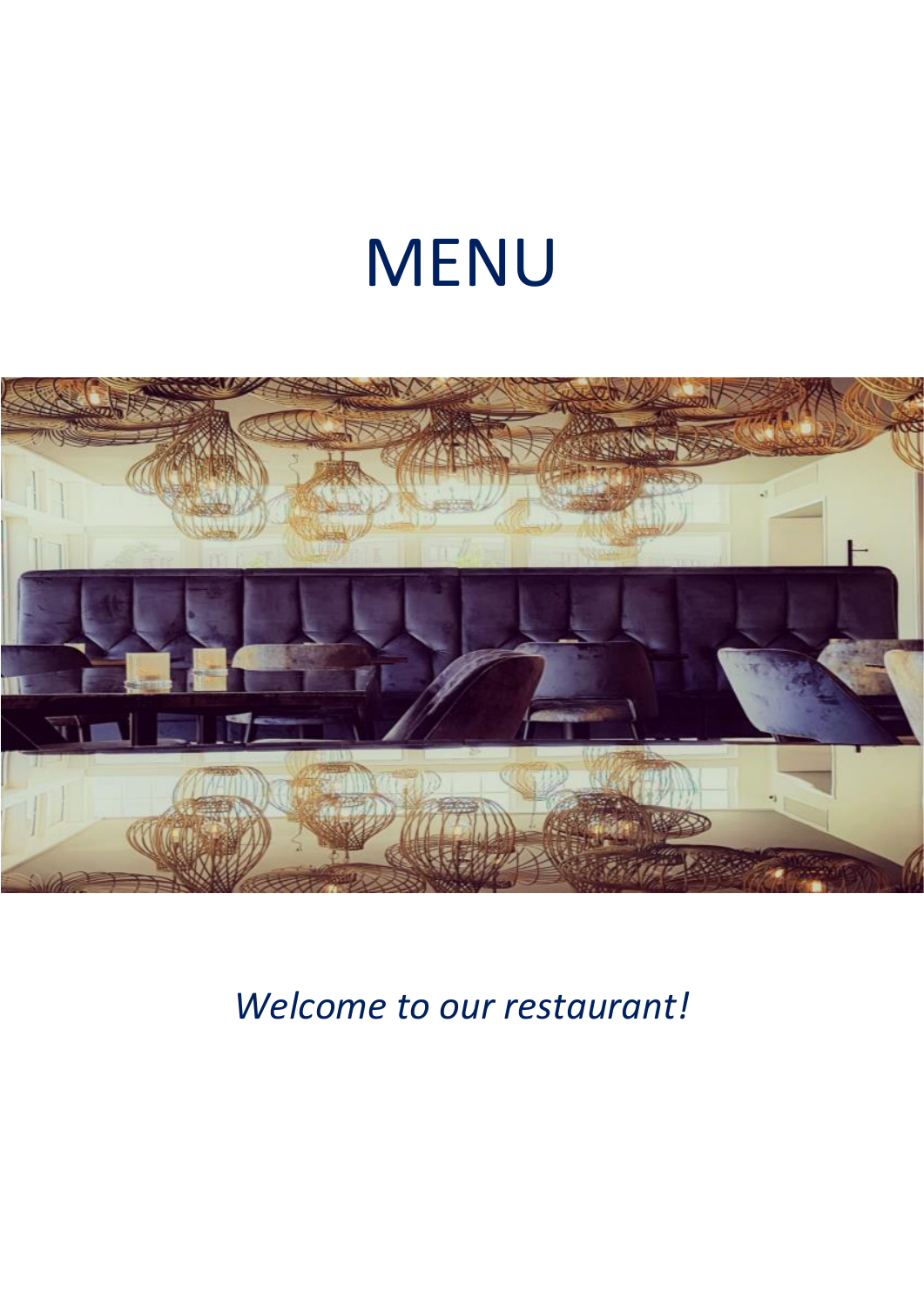# MENU



*Welcome to our restaurant!*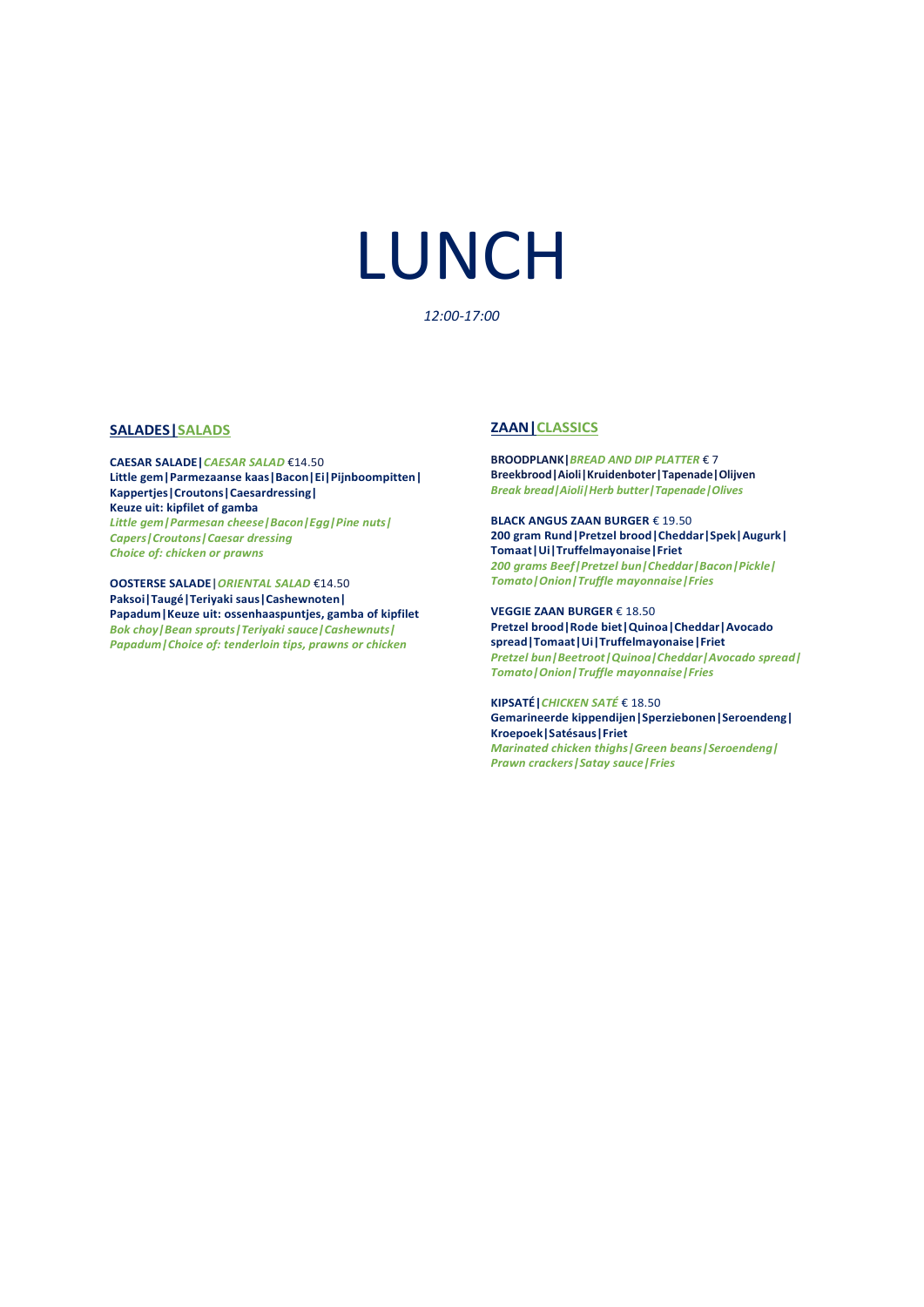# LUNCH

#### *12:00-17:00*

#### **SALADES|SALADS**

**CAESAR SALADE|***CAESAR SALAD* €14.50 **Little gem|Parmezaanse kaas|Bacon|Ei|Pijnboompitten| Kappertjes|Croutons|Caesardressing| Keuze uit: kipfilet of gamba** *Little gem|Parmesan cheese|Bacon|Egg|Pine nuts| Capers|Croutons|Caesar dressing Choice of: chicken or prawns*

**OOSTERSE SALADE|***ORIENTAL SALAD* €14.50 **Paksoi|Taugé|Teriyaki saus|Cashewnoten| Papadum|Keuze uit: ossenhaaspuntjes, gamba of kipfilet** *Bok choy|Bean sprouts|Teriyaki sauce|Cashewnuts|* Paksoi|Taugé|Teriyaki saus|Cashewnoten|<br>Papadum|Keuze uit: ossenhaaspuntjes, gamba of kipfi<br>*Bok choy|Bean sprouts|Teriyaki sauce|Cashewnuts|<br>Papadum|Choice of: tenderloin tips, prawns or chicken* 

#### **ZAAN|CLASSICS**

**BROODPLANK|***BREAD AND DIP PLATTER* € 7 **Breekbrood|Aioli|Kruidenboter|Tapenade|Olijven** *Break bread|Aioli|Herb butter|Tapenade|Olives*

**BLACK ANGUS ZAAN BURGER** € 19.50 **200 gram Rund|Pretzel brood|Cheddar|Spek|Augurk| Tomaat|Ui|Truffelmayonaise|Friet** *200 grams Beef|Pretzel bun|Cheddar|Bacon|Pickle| Tomato|Onion|Truffle mayonnaise|Fries*

**VEGGIE ZAAN BURGER** € 18.50 **Pretzel brood|Rode biet|Quinoa|Cheddar|Avocado spread|Tomaat|Ui|Truffelmayonaise|Friet** *Pretzel bun|Beetroot|Quinoa|Cheddar|Avocado spread| Tomato|Onion|Truffle mayonnaise|Fries*

**KIPSATÉ|***CHICKEN SATÉ* € 18.50 **Gemarineerde kippendijen|Sperziebonen|Seroendeng| Kroepoek|Satésaus|Friet** *Marinated chicken thighs|Green beans|Seroendeng| Prawn crackers|Satay sauce|Fries*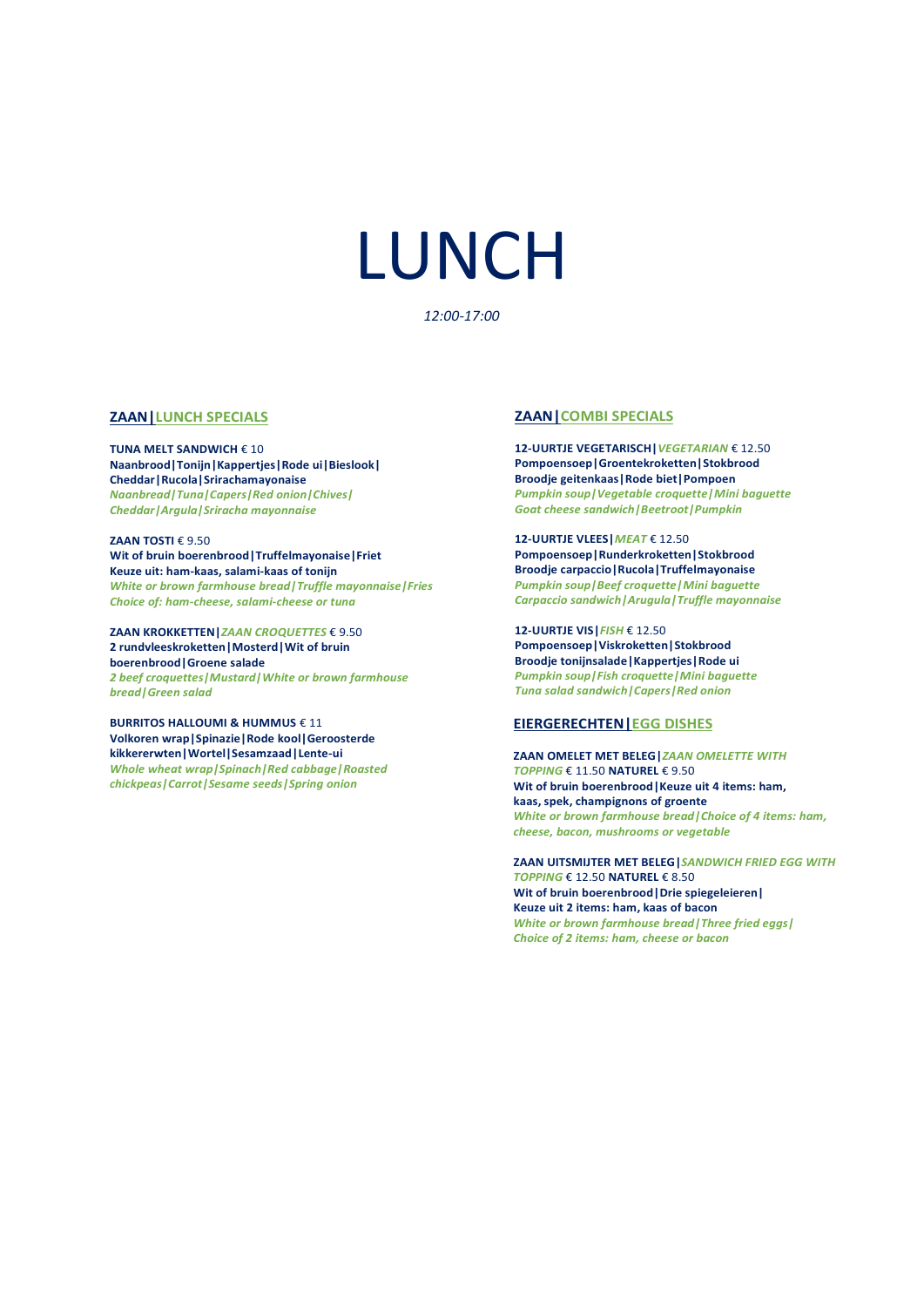# LUNCH

*12:00-17:00*

#### **ZAAN|LUNCH SPECIALS**

**TUNA MELT SANDWICH** € 10 **Naanbrood|Tonijn|Kappertjes|Rode ui|Bieslook| Cheddar|Rucola|Srirachamayonaise**  *Naanbread|Tuna|Capers|Red onion|Chives| Cheddar|Argula|Sriracha mayonnaise*

**ZAAN TOSTI** € 9.50 **Wit of bruin boerenbrood|Truffelmayonaise|Friet Keuze uit: ham-kaas, salami-kaas of tonijn** *White or brown farmhouse bread|Truffle mayonnaise|Fries Choice of: ham-cheese, salami-cheese or tuna*

**ZAAN KROKKETTEN|***ZAAN CROQUETTES* € 9.50 **2 rundvleeskroketten|Mosterd|Wit of bruin boerenbrood|Groene salade** *2 beef croquettes|Mustard|White or brown farmhouse bread|Green salad*

**BURRITOS HALLOUMI & HUMMUS** € 11 **Volkoren wrap|Spinazie|Rode kool|Geroosterde kikkererwten|Wortel|Sesamzaad|Lente-ui**  *Whole wheat wrap|Spinach|Red cabbage|Roasted chickpeas|Carrot|Sesame seeds|Spring onion* 

#### **ZAAN|COMBI SPECIALS**

**12-UURTJE VEGETARISCH|***VEGETARIAN* € 12.50 **Pompoensoep|Groentekroketten|Stokbrood Broodje geitenkaas|Rode biet|Pompoen** *Pumpkin soup|Vegetable croquette|Mini baguette Goat cheese sandwich|Beetroot|Pumpkin*

**12-UURTJE VLEES|***MEAT* € 12.50 **Pompoensoep|Runderkroketten|Stokbrood Broodje carpaccio|Rucola|Truffelmayonaise** *Pumpkin soup|Beef croquette|Mini baguette Carpaccio sandwich|Arugula|Truffle mayonnaise*

**12-UURTJE VIS|***FISH* € 12.50 **Pompoensoep|Viskroketten|Stokbrood Broodje tonijnsalade|Kappertjes| Rode ui** *Pumpkin soup|Fish croquette|Mini baguette Tuna salad sandwich|Capers|Red onion* 

#### **EIERGERECHTEN|EGG DISHES**

**ZAAN OMELET MET BELEG|***ZAAN OMELETTE WITH TOPPING* € 11.50 **NATUREL** € 9.50 **Wit of bruin boerenbrood|Keuze uit 4 items: ham, kaas, spek, champignons of groente** *White or brown farmhouse bread|Choice of 4 items: ham, cheese, bacon, mushrooms or vegetable*

**ZAAN UITSMIJTER MET BELEG|***SANDWICH FRIED EGG WITH TOPPING* € 12.50 **NATUREL** € 8.50 **Wit of bruin boerenbrood|Drie spiegeleieren| Keuze uit 2 items: ham, kaas of bacon** *White or brown farmhouse bread|Three fried eggs| Choice of 2 items: ham, cheese or bacon*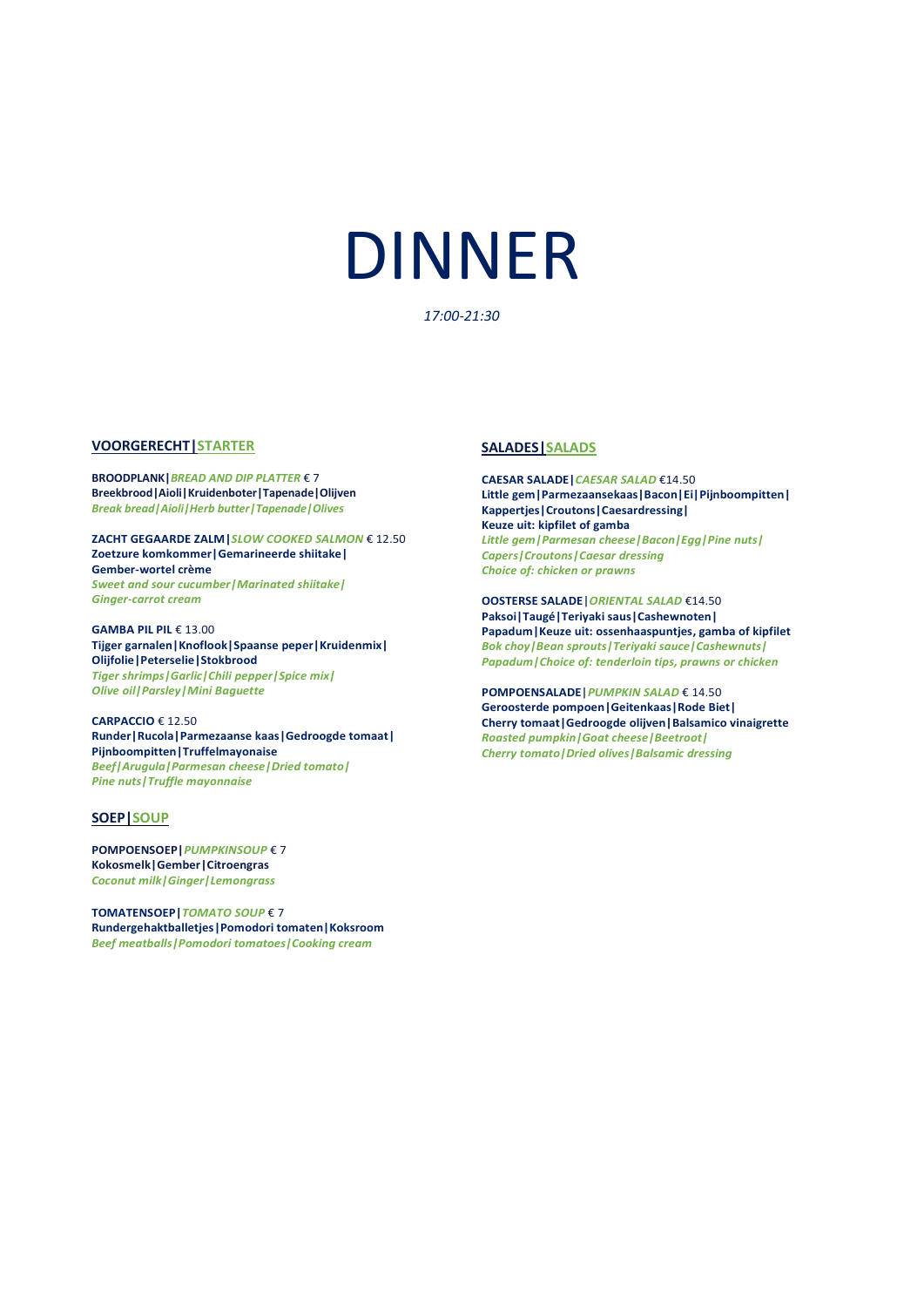# DINNER

*17:00-21:30*

#### **VOORGERECHT|STARTER**

**BROODPLANK|***BREAD AND DIP PLATTER* € 7 **Breekbrood|Aioli|Kruidenboter|Tapenade|Olijven** *Break bread|Aioli|Herb butter|Tapenade|Olives*

**ZACHT GEGAARDE ZALM|***SLOW COOKED SALMON* € 12.50 **Zoetzure komkommer|Gemarineerde shiitake| Gember-wortel crème** *Sweet and sour cucumber|Marinated shiitake| Ginger-carrot cream*

**GAMBA PIL PIL** € 13.00 **Tijger garnalen|Knoflook|Spaanse peper|Kruidenmix| Olijfolie|Peterselie|Stokbrood** *Tiger shrimps|Garlic|Chili pepper|Spice mix| Olive oil|Parsley|Mini Baguette*

**CARPACCIO** € 12.50 **Runder|Rucola|Parmezaanse kaas|Gedroogde tomaat| Pijnboompitten|Truffelmayonaise** *Beef|Arugula|Parmesan cheese|Dried tomato| Pine nuts|Truffle mayonnaise*

#### **SOEP|SOUP**

**POMPOENSOEP|***PUMPKINSOUP* € 7 **Kokosmelk|Gember|Citroengras** *Coconut milk|Ginger|Lemongrass*

**TOMATENSOEP|***TOMATO SOUP* € 7 **Rundergehaktballetjes|Pomodori tomaten|Koksroom** *Beef meatballs|Pomodori tomatoes|Cooking cream*

#### **SALADES|SALADS**

**CAESAR SALADE|***CAESAR SALAD* €14.50 **Little gem|Parmezaansekaas|Bacon|Ei|Pijnboompitten| Kappertjes|Croutons|Caesardressing| Keuze uit: kipfilet of gamba** *Little gem|Parmesan cheese|Bacon|Egg|Pine nuts| Capers|Croutons|Caesar dressing Choice of: chicken or prawns*

**OOSTERSE SALADE|***ORIENTAL SALAD* €14.50 **Paksoi|Taugé|Teriyaki saus|Cashewnoten| Papadum|Keuze uit: ossenhaaspuntjes, gamba of kipfilet** *Bok choy|Bean sprouts|Teriyaki sauce|Cashewnuts|* Paksoi|Taugé|Teriyaki saus|Cashewnoten|<br>Papadum|Keuze uit: ossenhaaspuntjes, gamba of kipfi<br>*Bok choy|Bean sprouts|Teriyaki sauce|Cashewnuts|<br>Papadum|Choice of: tenderloin tips, prawns or chicken* 

**POMPOENSALADE|***PUMPKIN SALAD* € 14.50 **Geroosterde pompoen|Geitenkaas|Rode Biet| Cherry tomaat|Gedroogde olijven|Balsamico vinaigrette** *Roasted pumpkin|Goat cheese|Beetroot| Cherry tomato|Dried olives|Balsamic dressing*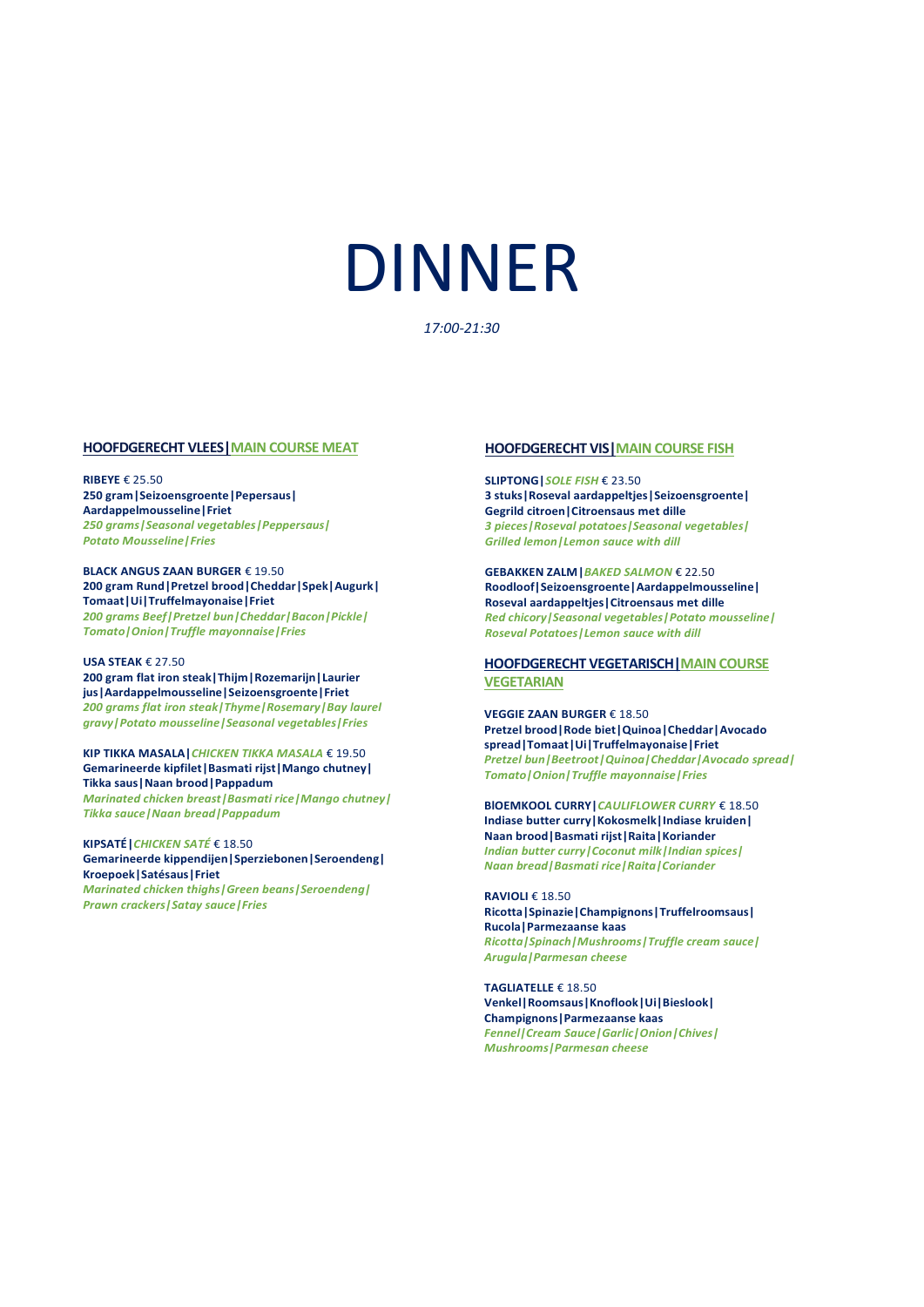# DINNER

*17:00-21:30*

#### **HOOFDGERECHT VLEES|MAIN COURSE MEAT**

**RIBEYE** € 25.50 **250 gram|Seizoensgroente|Pepersaus| Aardappelmousseline|Friet** *250 grams|Seasonal vegetables|Peppersaus| Potato Mousseline|Fries*

#### **BLACK ANGUS ZAAN BURGER** € 19.50 **200 gram Rund|Pretzel brood|Cheddar|Spek|Augurk| Tomaat|Ui|Truffelmayonaise|Friet**

*200 grams Beef|Pretzel bun|Cheddar|Bacon|Pickle| Tomato|Onion|Truffle mayonnaise|Fries*

#### **USA STEAK** € 27.50

**200 gram flat iron steak|Thijm|Rozemarijn|Laurier jus|Aardappelmousseline|Seizoensgroente|Friet** *200 grams flat iron steak|Thyme|Rosemary|Bay laurel gravy|Potato mousseline|Seasonal vegetables|Fries*

**KIP TIKKA MASALA|***CHICKEN TIKKA MASALA* € 19.50 **Gemarineerde kipfilet|Basmati rijst|Mango chutney| Tikka saus|Naan brood|Pappadum** *Marinated chicken breast|Basmati rice|Mango chutney| Tikka sauce|Naan bread|Pappadum*

**KIPSATÉ|***CHICKEN SATÉ* € 18.50 **Gemarineerde kippendijen|Sperziebonen|Seroendeng| Kroepoek|Satésaus|Friet** *Marinated chicken thighs|Green beans|Seroendeng| Prawn crackers|Satay sauce|Fries*

#### **HOOFDGERECHT VIS|MAIN COURSE FISH**

**SLIPTONG|***SOLE FISH* € 23.50 **3 stuks|Roseval aardappeltjes|Seizoensgroente| Gegrild citroen|Citroensaus met dille** *3 pieces|Roseval potatoes|Seasonal vegetables| Grilled lemon|Lemon sauce with dill*

**GEBAKKEN ZALM|***BAKED SALMON* € 22.50 **Roodloof|Seizoensgroente|Aardappelmousseline| Roseval aardappeltjes|Citroensaus met dille** *Red chicory|Seasonal vegetables|Potato mousseline| Roseval Potatoes|Lemon sauce with dill*

#### **HOOFDGERECHT VEGETARISCH|MAIN COURSE VEGETARIAN**

**VEGGIE ZAAN BURGER** € 18.50 **Pretzel brood|Rode biet|Quinoa|Cheddar|Avocado spread|Tomaat|Ui|Truffelmayonaise|Friet** *Pretzel bun|Beetroot|Quinoa|Cheddar|Avocado spread| Tomato|Onion|Truffle mayonnaise|Fries*

**BlOEMKOOL CURRY|***CAULIFLOWER CURRY* € 18.50 **Indiase butter curry|Kokosmelk|Indiase kruiden| Naan brood|Basmati rijst|Raita|Koriander** *Indian butter curry|Coconut milk|Indian spices| Naan bread|Basmati rice|Raita|Coriander*

**RAVIOLI** € 18.50 **Ricotta|Spinazie|Champignons|Truffelroomsaus| Rucola|Parmezaanse kaas** *Ricotta|Spinach|Mushrooms|Truffle cream sauce| Arugula|Parmesan cheese*

**TAGLIATELLE** € 18.50 **Venkel|Roomsaus|Knoflook|Ui|Bieslook| Champignons|Parmezaanse kaas** *Fennel|Cream Sauce|Garlic|Onion|Chives| Mushrooms|Parmesan cheese*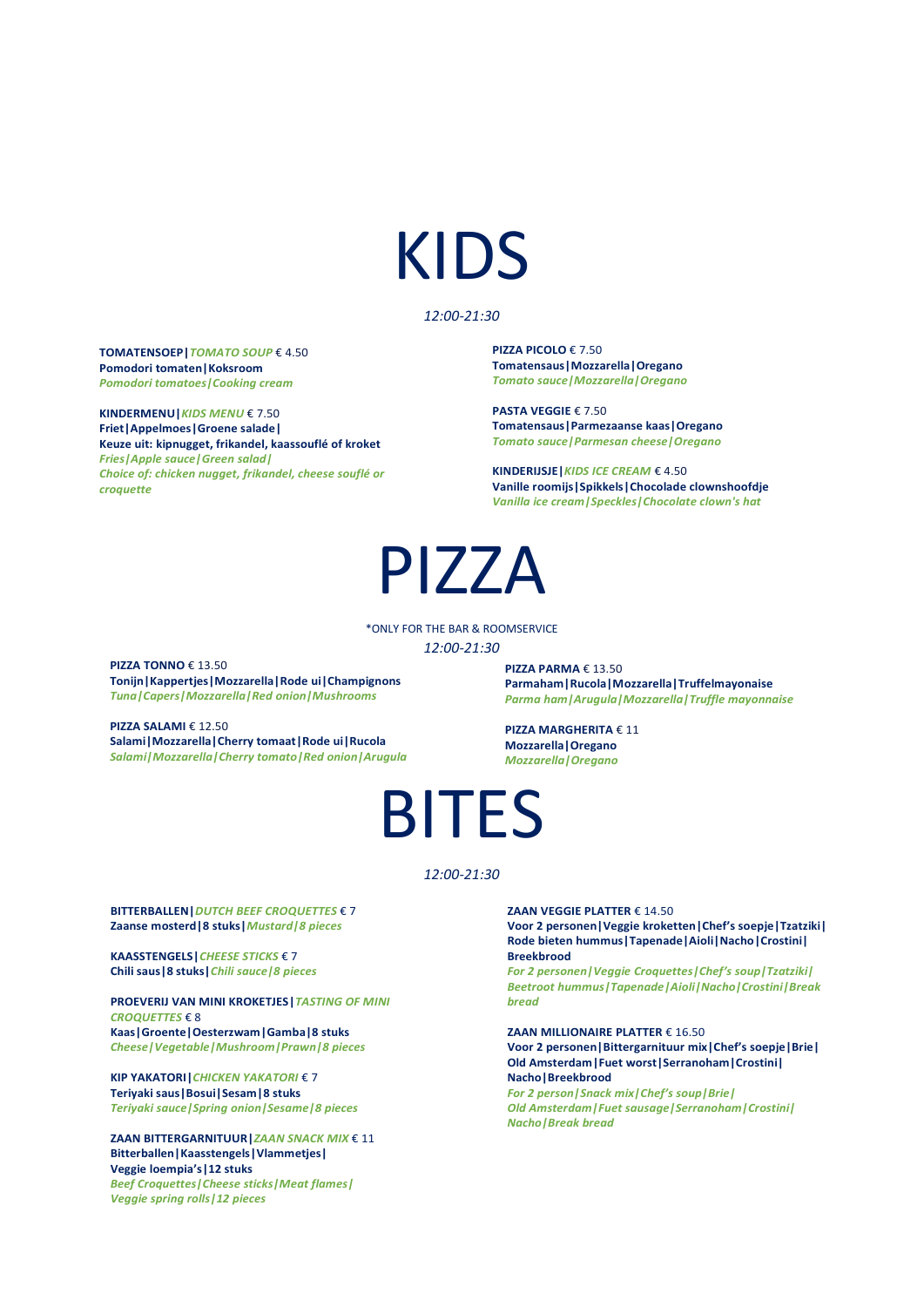# KIDS

#### *12:00-21:30*

#### **TOMATENSOEP|***TOMATO SOUP* € 4.50 **Pomodori tomaten|Koksroom** *Pomodori tomatoes|Cooking cream*

**KINDERMENU|***KIDS MENU* € 7.50 **Friet|Appelmoes|Groene salade| Keuze uit: kipnugget, frikandel, kaassouflé of kroket**  *Fries|Apple sauce|Green salad| Choice of: chicken nugget, frikandel, cheese souflé or croquette*

**PIZZA PICOLO** € 7.50 **Tomatensaus|Mozzarella|Oregano** *Tomato sauce|Mozzarella|Oregano*

**PASTA VEGGIE** € 7.50 **Tomatensaus|Parmezaanse kaas|Oregano** *Tomato sauce|Parmesan cheese|Oregano*

**KINDERIJSJE|***KIDS ICE CREAM* € 4.50 **Vanille roomijs|Spikkels|Chocolade clownshoofdje** *Vanilla ice cream|Speckles|Chocolate clown's hat*

### PIZZA

\*ONLY FOR THE BAR & ROOMSERVICE *12:00-21:30*

**PIZZA TONNO** € 13.50 **Tonijn|Kappertjes|Mozzarella|Rode ui|Champignons** *Tuna|Capers|Mozzarella|Red onion|Mushrooms*

**PIZZA SALAMI** € 12.50 **Salami|Mozzarella|Cherry tomaat|Rode ui|Rucola** *Salami|Mozzarella|Cherry tomato|Red onion|Arugula* **PIZZA PARMA** € 13.50 **Parmaham|Rucola|Mozzarella|Truffelmayonaise** *Parma ham|Arugula|Mozzarella|Truffle mayonnaise*

**PIZZA MARGHERITA** € 11 **Mozzarella|Oregano** *Mozzarella|Oregano*

## BITES

#### *12:00-21:30*

**BITTERBALLEN|***DUTCH BEEF CROQUETTES* € 7 **Zaanse mosterd|8 stuks|***Mustard|8 pieces*

**KAASSTENGELS|***CHEESE STICKS* € 7 **Chili saus|8 stuks|***Chili sauce|8 pieces*

**PROEVERIJ VAN MINI KROKETJES|***TASTING OF MINI CROQUETTES* € 8 **Kaas|Groente|Oesterzwam|Gamba|8 stuks** *Cheese|Vegetable|Mushroom|Prawn|8 pieces*

**KIP YAKATORI|***CHICKEN YAKATORI* € 7 **Teriyaki saus|Bosui|Sesam|8 stuks**

*Teriyaki sauce|Spring onion|Sesame|8 pieces*<br>ZAAN BITTERGARNITUUR|*ZAAN SNACK MIX* €<br>Bitterballen|Kaasstengels|Vlammetjes|<br>Veggie loempia's|12 stuks **ZAAN BITTERGARNITUUR|***ZAAN SNACK MIX* € 11 **Veggie loempia's|12 stuks** *Beef Croquettes|Cheese sticks|Meat flames| Veggie spring rolls|12 pieces*

**ZAAN VEGGIE PLATTER** € 14.50 **Voor 2 personen|Veggie kroketten|Chef's soepje|Tzatziki| Rode bieten hummus|Tapenade|Aioli|Nacho|Crostini| Breekbrood**

*For 2 personen|Veggie Croquettes|Chef's soup|Tzatziki| Beetroot hummus|Tapenade|Aioli|Nacho|Crostini|Break bread*

**ZAAN MILLIONAIRE PLATTER** € 16.50

**Voor 2 personen|Bittergarnituur mix|Chef's soepje|Brie| Old Amsterdam|Fuet worst|Serranoham|Crostini| Nacho|Breekbrood**

*For 2 person|Snack mix|Chef's soup|Brie| Old Amsterdam|Fuet sausage|Serranoham|Crostini| Nacho|Break bread*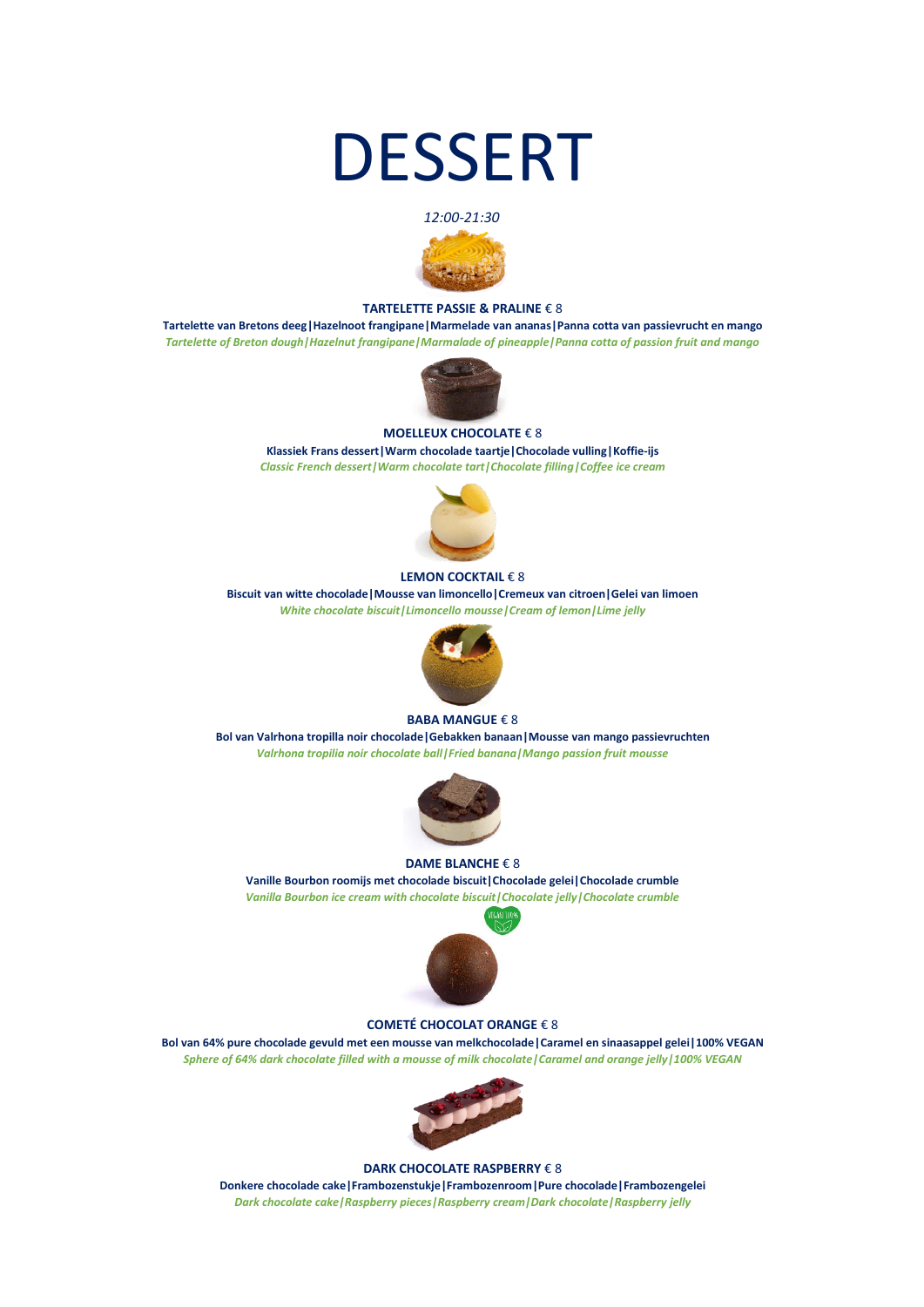## DESSERT





#### **TARTELETTE PASSIE & PRALINE** € 8

**Tartelette van Bretons deeg|Hazelnoot frangipane|Marmelade van ananas|Panna cotta van passievrucht en mango** *Tartelette of Breton dough|Hazelnut frangipane|Marmalade of pineapple|Panna cotta of passion fruit and mango*



#### **MOELLEUX CHOCOLATE** € 8

**Klassiek Frans dessert|Warm chocolade taartje|Chocolade vulling|Koffie-ijs** *Classic French dessert|Warm chocolate tart|Chocolate filling|Coffee ice cream*



#### **LEMON COCKTAIL** € 8

**Biscuit van witte chocolade|Mousse van limoncello|Cremeux van citroen|Gelei van limoen** *White chocolate biscuit|Limoncello mousse|Cream of lemon|Lime jelly*



#### **BABA MANGUE** € 8

**Bol van Valrhona tropilla noir chocolade|Gebakken banaan|Mousse van mango passievruchten** *Valrhona tropilia noir chocolate ball|Fried banana|Mango passion fruit mousse*



#### **DAME BLANCHE** € 8

**Vanille Bourbon roomijs met chocolade biscuit|Chocolade gelei|Chocolade crumble** *Vanilla Bourbon ice cream with chocolate biscuit|Chocolate jelly|Chocolate crumble* 



#### **COMETÉ CHOCOLAT ORANGE** € 8

**Bol van 64% pure chocolade gevuld met een mousse van melkchocolade|Caramel en sinaasappel gelei|100% VEGAN** *Sphere of 64% dark chocolate filled with a mousse of milk chocolate|Caramel and orange jelly|100% VEGAN*



#### **DARK CHOCOLATE RASPBERRY** € 8

**Donkere chocolade cake|Frambozenstukje|Frambozenroom|Pure chocolade|Frambozengelei** *Dark chocolate cake|Raspberry pieces|Raspberry cream|Dark chocolate|Raspberry jelly*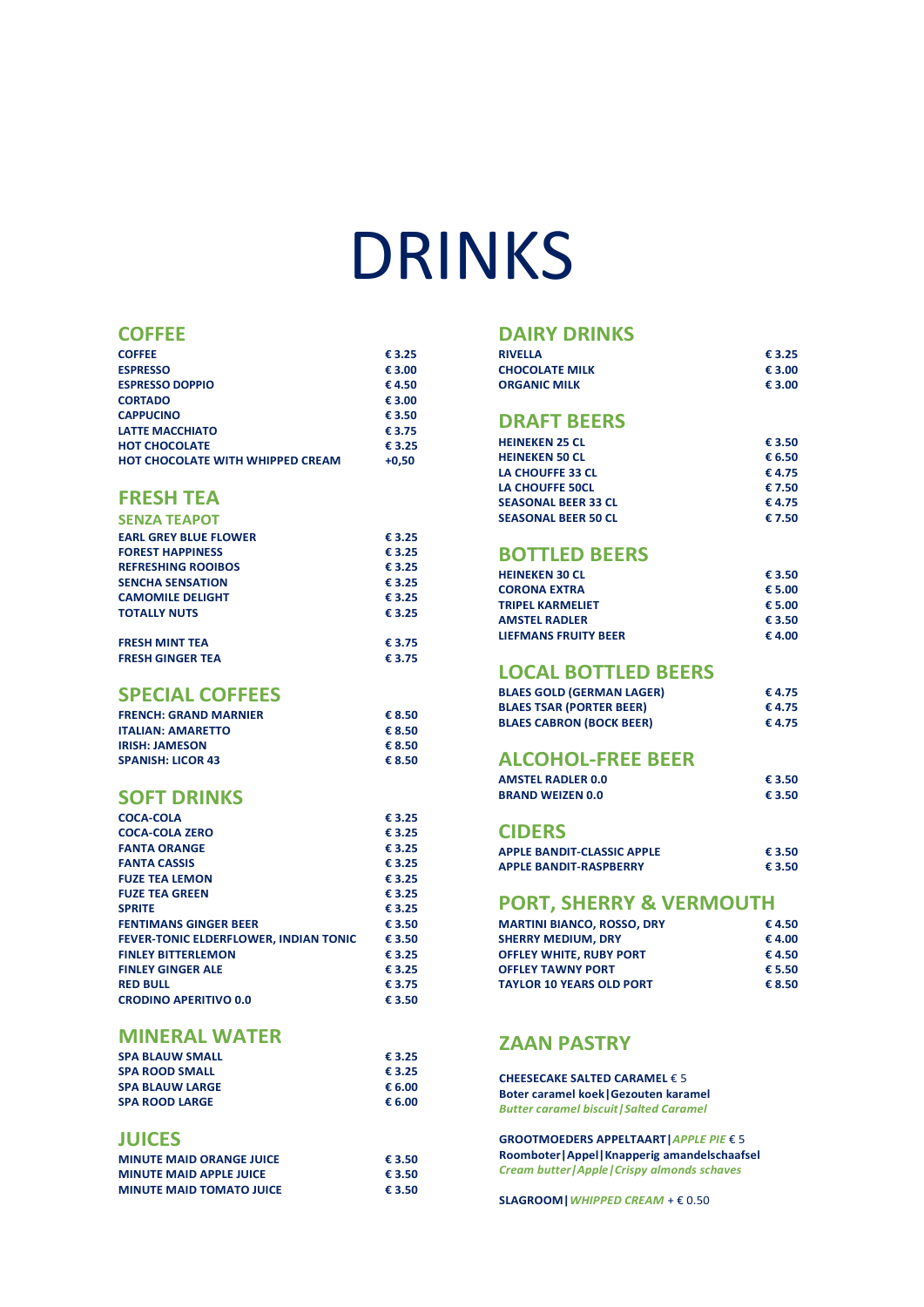# DRINKS

#### **COFFEE**

| <b>COFFEE</b>                           | € 3.25  |
|-----------------------------------------|---------|
| <b>ESPRESSO</b>                         | € 3.00  |
| <b>ESPRESSO DOPPIO</b>                  | €4.50   |
| <b>CORTADO</b>                          | € 3.00  |
| <b>CAPPUCINO</b>                        | € 3.50  |
| <b>LATTE MACCHIATO</b>                  | € 3.75  |
| <b>HOT CHOCOLATE</b>                    | € 3.25  |
| <b>HOT CHOCOLATE WITH WHIPPED CREAM</b> | $+0.50$ |

### **FRESH TEA**

| <b>SENZA TEAPOT</b>          |        |
|------------------------------|--------|
| <b>EARL GREY BLUE FLOWER</b> | € 3.25 |
| <b>FOREST HAPPINESS</b>      | € 3.25 |
| <b>REFRESHING ROOIBOS</b>    | € 3.25 |
| <b>SENCHA SENSATION</b>      | € 3.25 |
| <b>CAMOMILE DELIGHT</b>      | € 3.25 |
| <b>TOTALLY NUTS</b>          | € 3.25 |
| <b>FRESH MINT TEA</b>        | € 3.75 |
| <b>FRESH GINGER TEA</b>      | € 3.75 |

#### **SPECIAL COFFEES**

| <b>FRENCH: GRAND MARNIER</b> | € 8.50 |
|------------------------------|--------|
| <b>ITALIAN: AMARETTO</b>     | € 8.50 |
| <b>IRISH: JAMESON</b>        | € 8.50 |
| <b>SPANISH: LICOR 43</b>     | € 8.50 |
|                              |        |

#### **SOFT DRINKS**

| <b>COCA-COLA</b>                             | €3.25  |
|----------------------------------------------|--------|
| <b>COCA-COLA ZERO</b>                        | € 3.25 |
| <b>FANTA ORANGE</b>                          | € 3.25 |
| <b>FANTA CASSIS</b>                          | € 3.25 |
| <b>FUZE TEA LEMON</b>                        | € 3.25 |
| <b>FUZE TEA GREEN</b>                        | € 3.25 |
| <b>SPRITE</b>                                | € 3.25 |
| <b>FENTIMANS GINGER BEER</b>                 | € 3.50 |
| <b>FEVER-TONIC ELDERFLOWER, INDIAN TONIC</b> | € 3.50 |
| <b>FINLEY BITTERLEMON</b>                    | € 3.25 |
| <b>FINLEY GINGER ALE</b>                     | € 3.25 |
| <b>RED BULL</b>                              | € 3.75 |
| <b>CRODINO APERITIVO 0.0</b>                 | € 3.50 |
|                                              |        |

#### **MINERAL WATER**

| <b>SPA BLAUW SMALL</b> | € 3.25 |
|------------------------|--------|
| <b>SPA ROOD SMALL</b>  | € 3.25 |
| <b>SPA BLAUW LARGE</b> | € 6.00 |
| <b>SPA ROOD LARGE</b>  | € 6.00 |
|                        |        |

#### **JUICES**

| <b>MINUTE MAID ORANGE JUICE</b> | € 3.50 |
|---------------------------------|--------|
| <b>MINUTE MAID APPLE JUICE</b>  | € 3.50 |
| <b>MINUTE MAID TOMATO JUICE</b> | € 3.50 |

### **DAIRY DRINKS**

| <b>RIVELLA</b>        | € 3.25 |
|-----------------------|--------|
| <b>CHOCOLATE MILK</b> | € 3.00 |
| <b>ORGANIC MILK</b>   | € 3.00 |

#### **DRAFT BEERS**

| <b>HEINEKEN 25 CL</b>      | € 3.50 |
|----------------------------|--------|
| <b>HEINEKEN 50 CL</b>      | € 6.50 |
| LA CHOUFFE 33 CL           | € 4.75 |
| LA CHOUFFE 50CL            | € 7.50 |
| <b>SEASONAL BEER 33 CL</b> | € 4.75 |
| <b>SEASONAL BEER 50 CL</b> | € 7.50 |

### **BOTTLED BEERS**

| <b>HEINEKEN 30 CL</b>       | € 3.50 |
|-----------------------------|--------|
| <b>CORONA EXTRA</b>         | € 5.00 |
| <b>TRIPFL KARMFLIFT</b>     | € 5.00 |
| <b>AMSTEL RADLER</b>        | € 3.50 |
| <b>LIEFMANS FRUITY BEER</b> | € 4.00 |

#### **LOCAL BOTTLED BEERS**

| <b>BLAES GOLD (GERMAN LAGER)</b> | € 4.75 |  |
|----------------------------------|--------|--|
| <b>BLAES TSAR (PORTER BEER)</b>  | € 4.75 |  |
| <b>BLAES CABRON (BOCK BEER)</b>  | € 4.75 |  |

### **ALCOHOL-FREE BEER**

| <b>AMSTEL RADLER 0.0</b> | € 3.50 |
|--------------------------|--------|
| <b>BRAND WEIZEN 0.0</b>  | € 3.50 |

#### **CIDERS**

| APPLE BANDIT-CLASSIC APPLE | € 3.50 |
|----------------------------|--------|
| APPLE BANDIT-RASPBERRY     | € 3.50 |

#### **PORT, SHERRY & VERMOUTH**

| €4.50  |
|--------|
| €4.00  |
| €4.50  |
| € 5.50 |
| € 8.50 |
|        |

#### **ZAAN PASTRY**

**CHEESECAKE SALTED CARAMEL** € 5 **Boter caramel koek|Gezouten karamel** *Butter caramel biscuit|Salted Caramel*

**GROOTMOEDERS APPELTAART|***APPLE PIE* € 5 **Roomboter|Appel|Knapperig amandelschaafsel**  *Cream butter|Apple|Crispy almonds schaves* 

**SLAGROOM|***WHIPPED CREAM* + € 0.50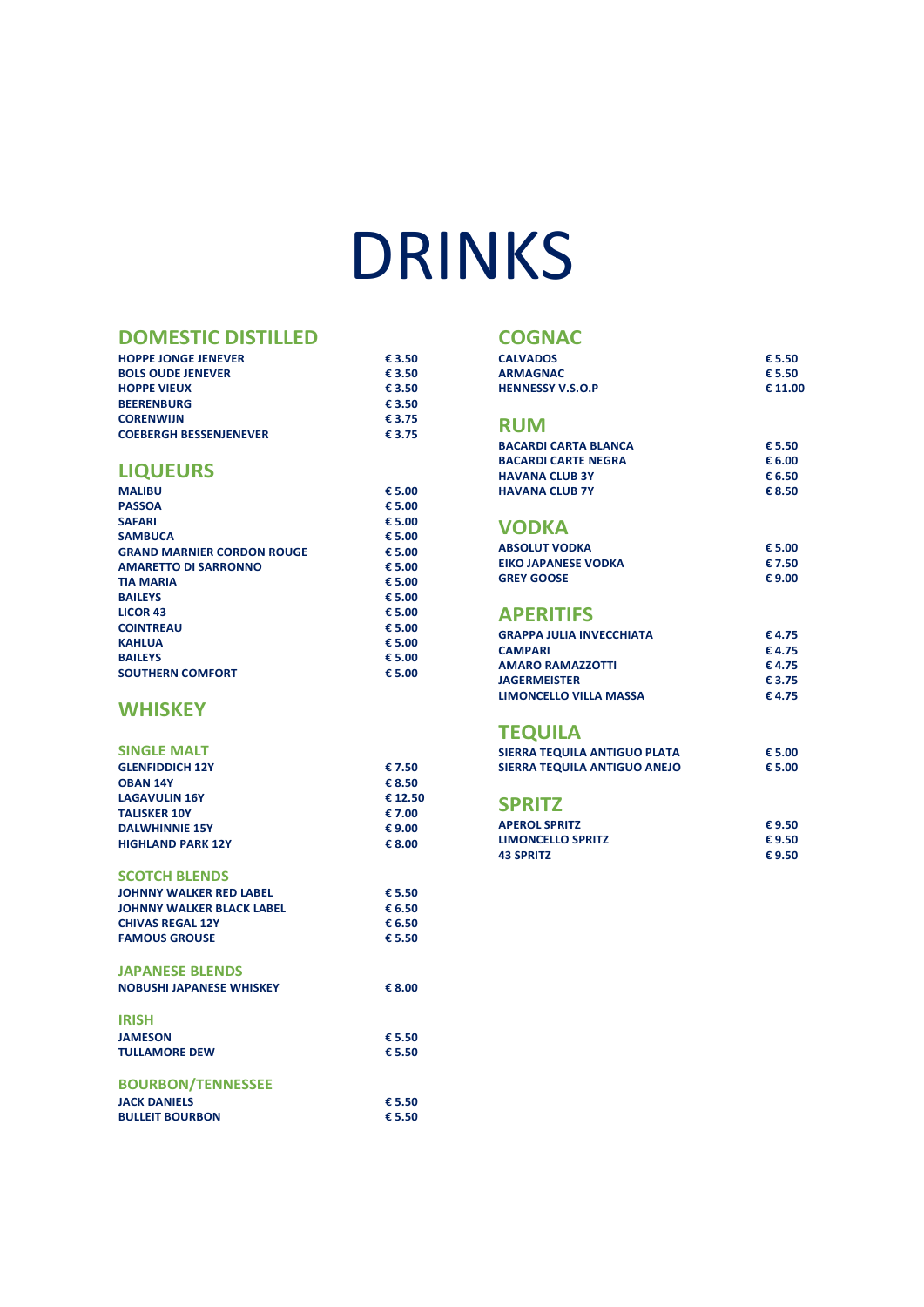# DRINKS

#### **DOMESTIC DISTILLED**

| <b>HOPPE JONGE JENEVER</b>    | € 3.50 |
|-------------------------------|--------|
| <b>BOLS OUDE JENEVER</b>      | € 3.50 |
| <b>HOPPE VIEUX</b>            | € 3.50 |
| <b>BEERENBURG</b>             | € 3.50 |
| <b>CORENWIJN</b>              | € 3.75 |
| <b>COEBERGH BESSENJENEVER</b> | € 3.75 |
|                               |        |

### **LIQUEURS**

| <b>MALIBU</b>                     | € 5.00 |
|-----------------------------------|--------|
| <b>PASSOA</b>                     | € 5.00 |
| <b>SAFARI</b>                     | € 5.00 |
| <b>SAMBUCA</b>                    | € 5.00 |
| <b>GRAND MARNIER CORDON ROUGE</b> | € 5.00 |
| <b>AMARETTO DI SARRONNO</b>       | € 5.00 |
| <b>TIA MARIA</b>                  | € 5.00 |
| <b>BAILEYS</b>                    | € 5.00 |
| <b>LICOR 43</b>                   | € 5.00 |
| <b>COINTREAU</b>                  | € 5.00 |
| <b>KAHLUA</b>                     | € 5.00 |
| <b>BAILEYS</b>                    | € 5.00 |
| <b>SOUTHERN COMFORT</b>           | € 5.00 |

### **WHISKEY**

| <b>SINGLE MALT</b>       |         |
|--------------------------|---------|
| <b>GLENFIDDICH 12Y</b>   | € 7.50  |
| <b>OBAN 14Y</b>          | € 8.50  |
| <b>LAGAVULIN 16Y</b>     | € 12.50 |
| <b>TALISKER 10Y</b>      | € 7.00  |
| <b>DALWHINNIE 15Y</b>    | € 9.00  |
| <b>HIGHLAND PARK 12Y</b> | € 8.00  |
|                          |         |
| SCOTCH BLENDS            |         |

| эсслен венгрэ                    |        |
|----------------------------------|--------|
| <b>JOHNNY WALKER RED LABEL</b>   | € 5.50 |
| <b>JOHNNY WALKER BLACK LABEL</b> | € 6.50 |
| <b>CHIVAS REGAL 12Y</b>          | € 6.50 |
| <b>FAMOUS GROUSE</b>             | € 5.50 |
| <b>JAPANESE BLENDS</b>           |        |
| <b>NOBUSHI JAPANESE WHISKEY</b>  | € 8.00 |
| <b>IRISH</b>                     |        |
| <b>JAMESON</b>                   | € 5.50 |
| <b>TULLAMORE DEW</b>             | € 5.50 |
| <b>BOURBON/TENNESSEE</b>         |        |
| <b>JACK DANIELS</b>              | € 5.50 |
| <b>BULLEIT BOURBON</b>           | € 5.50 |

#### **COGNAC**

| <b>CALVADOS</b>             | € 5.50  |
|-----------------------------|---------|
| <b>ARMAGNAC</b>             | € 5.50  |
| <b>HENNESSY V.S.O.P</b>     | € 11.00 |
| <b>RUM</b>                  |         |
| <b>BACARDI CARTA BLANCA</b> | € 5.50  |
| <b>BACARDI CARTE NEGRA</b>  | € 6.00  |
| <b>HAVANA CLUB 3Y</b>       | € 6.50  |
| <b>HAVANA CLUB 7Y</b>       | € 8.50  |
|                             |         |

#### **VODKA**

| <b>ABSOLUT VODKA</b>       | € 5.00 |
|----------------------------|--------|
| <b>EIKO JAPANESE VODKA</b> | € 7.50 |
| <b>GREY GOOSE</b>          | € 9.00 |

#### **APERITIFS**

| <b>GRAPPA JULIA INVECCHIATA</b> | € 4.75 |
|---------------------------------|--------|
| <b>CAMPARI</b>                  | € 4.75 |
| <b>AMARO RAMAZZOTTI</b>         | € 4.75 |
| <b>JAGERMEISTER</b>             | € 3.75 |
| LIMONCELLO VILLA MASSA          | € 4.75 |

### **TEQUILA**

| SIERRA TEQUILA ANTIGUO PLATA | € 5.00 |
|------------------------------|--------|
| SIERRA TEQUILA ANTIGUO ANEJO | € 5.00 |

#### **SPRITZ**

| <b>APEROL SPRITZ</b>     | € 9.50 |
|--------------------------|--------|
| <b>LIMONCELLO SPRITZ</b> | € 9.50 |
| <b>43 SPRITZ</b>         | € 9.50 |